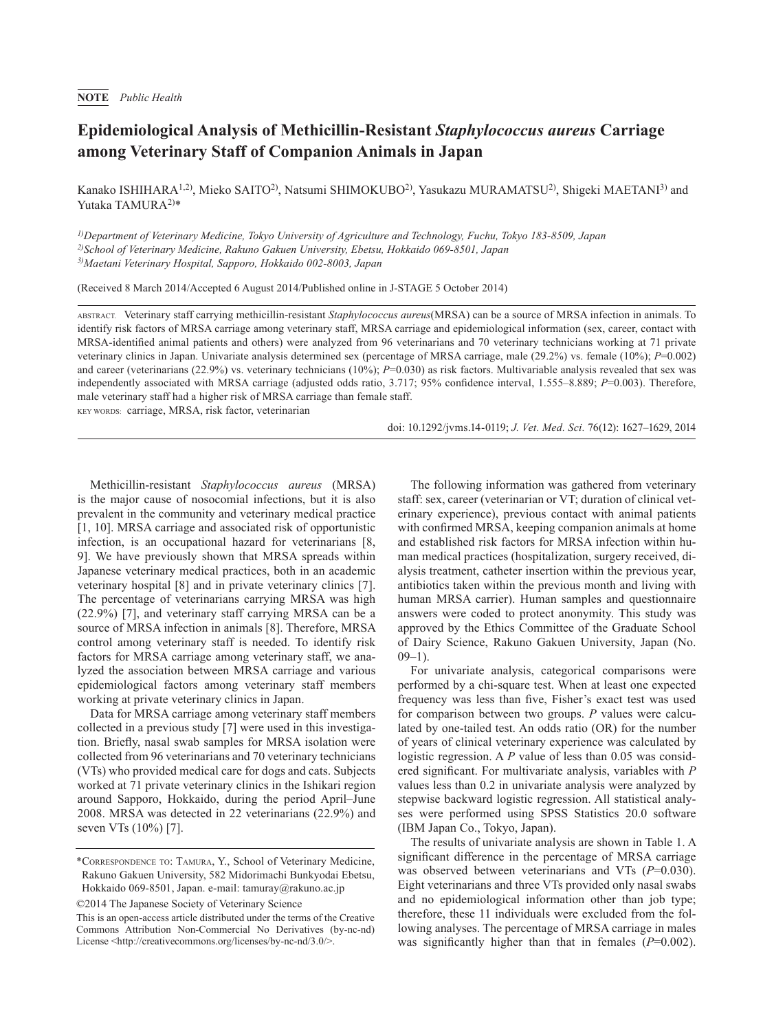## **Epidemiological Analysis of Methicillin-Resistant** *Staphylococcus aureus* **Carriage among Veterinary Staff of Companion Animals in Japan**

Kanako ISHIHARA<sup>1,2)</sup>, Mieko SAITO<sup>2)</sup>, Natsumi SHIMOKUBO<sup>2)</sup>, Yasukazu MURAMATSU<sup>2)</sup>, Shigeki MAETANI<sup>3)</sup> and Yutaka TAMURA<sup>2)\*</sup>

*1)Department of Veterinary Medicine, Tokyo University of Agriculture and Technology, Fuchu, Tokyo 183-8509, Japan 2)School of Veterinary Medicine, Rakuno Gakuen University, Ebetsu, Hokkaido 069-8501, Japan 3)Maetani Veterinary Hospital, Sapporo, Hokkaido 002-8003, Japan*

(Received 8 March 2014/Accepted 6 August 2014/Published online in J-STAGE 5 October 2014)

ABSTRACT. Veterinary staff carrying methicillin-resistant *Staphylococcus aureus*(MRSA) can be a source of MRSA infection in animals. To identify risk factors of MRSA carriage among veterinary staff, MRSA carriage and epidemiological information (sex, career, contact with MRSA-identified animal patients and others) were analyzed from 96 veterinarians and 70 veterinary technicians working at 71 private veterinary clinics in Japan. Univariate analysis determined sex (percentage of MRSA carriage, male (29.2%) vs. female (10%); *P*=0.002) and career (veterinarians (22.9%) vs. veterinary technicians (10%); *P*=0.030) as risk factors. Multivariable analysis revealed that sex was independently associated with MRSA carriage (adjusted odds ratio, 3.717; 95% confidence interval, 1.555–8.889; *P*=0.003). Therefore, male veterinary staff had a higher risk of MRSA carriage than female staff.

KEY WORDS: carriage, MRSA, risk factor, veterinarian

doi: 10.1292/jvms.14-0119; *J. Vet. Med. Sci.* 76(12): 1627–1629, 2014

Methicillin-resistant *Staphylococcus aureus* (MRSA) is the major cause of nosocomial infections, but it is also prevalent in the community and veterinary medical practice [[1, 10](#page-2-0)]. MRSA carriage and associated risk of opportunistic infection, is an occupational hazard for veterinarians [[8,](#page-2-1) [9](#page-2-1)]. We have previously shown that MRSA spreads within Japanese veterinary medical practices, both in an academic veterinary hospital [[8\]](#page-2-1) and in private veterinary clinics [[7\]](#page-2-2). The percentage of veterinarians carrying MRSA was high (22.9%) [\[7\]](#page-2-2), and veterinary staff carrying MRSA can be a source of MRSA infection in animals [[8](#page-2-1)]. Therefore, MRSA control among veterinary staff is needed. To identify risk factors for MRSA carriage among veterinary staff, we analyzed the association between MRSA carriage and various epidemiological factors among veterinary staff members working at private veterinary clinics in Japan.

Data for MRSA carriage among veterinary staff members collected in a previous study [\[7](#page-2-2)] were used in this investigation. Briefly, nasal swab samples for MRSA isolation were collected from 96 veterinarians and 70 veterinary technicians (VTs) who provided medical care for dogs and cats. Subjects worked at 71 private veterinary clinics in the Ishikari region around Sapporo, Hokkaido, during the period April–June 2008. MRSA was detected in 22 veterinarians (22.9%) and seven VTs (10%) [\[7\]](#page-2-2).

©2014 The Japanese Society of Veterinary Science

The following information was gathered from veterinary staff: sex, career (veterinarian or VT; duration of clinical veterinary experience), previous contact with animal patients with confirmed MRSA, keeping companion animals at home and established risk factors for MRSA infection within human medical practices (hospitalization, surgery received, dialysis treatment, catheter insertion within the previous year, antibiotics taken within the previous month and living with human MRSA carrier). Human samples and questionnaire answers were coded to protect anonymity. This study was approved by the Ethics Committee of the Graduate School of Dairy Science, Rakuno Gakuen University, Japan (No.  $09-1$ ).

For univariate analysis, categorical comparisons were performed by a chi-square test. When at least one expected frequency was less than five, Fisher's exact test was used for comparison between two groups. *P* values were calculated by one-tailed test. An odds ratio (OR) for the number of years of clinical veterinary experience was calculated by logistic regression. A *P* value of less than 0.05 was considered significant. For multivariate analysis, variables with *P* values less than 0.2 in univariate analysis were analyzed by stepwise backward logistic regression. All statistical analyses were performed using SPSS Statistics 20.0 software (IBM Japan Co., Tokyo, Japan).

The results of univariate analysis are shown in Table 1. A significant difference in the percentage of MRSA carriage was observed between veterinarians and VTs (*P*=0.030). Eight veterinarians and three VTs provided only nasal swabs and no epidemiological information other than job type; therefore, these 11 individuals were excluded from the following analyses. The percentage of MRSA carriage in males was significantly higher than that in females ( $P=0.002$ ).

<sup>\*</sup>Correspondence to: Tamura, Y., School of Veterinary Medicine, Rakuno Gakuen University, 582 Midorimachi Bunkyodai Ebetsu, Hokkaido 069-8501, Japan. e-mail: tamuray@rakuno.ac.jp

This is an open-access article distributed under the terms of the Creative Commons Attribution Non-Commercial No Derivatives (by-nc-nd) License [<http://creativecommons.org/licenses/by-nc-nd/3.0/](http://creativecommons.org/licenses/by-nc-nd/3.0/)>.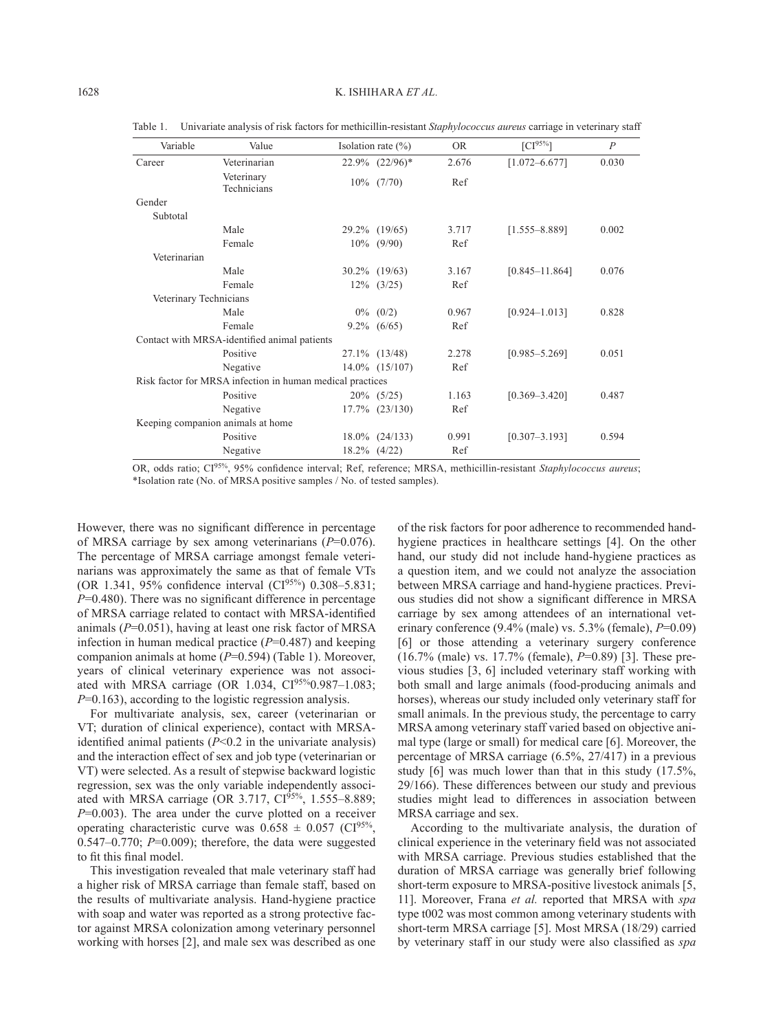| Variable               | Value                                                     | Isolation rate $(\% )$ | <b>OR</b> | $[CI^{95\%}]$      | $\overline{P}$ |
|------------------------|-----------------------------------------------------------|------------------------|-----------|--------------------|----------------|
| Career                 | Veterinarian                                              | $22.9\%$ $(22/96)*$    | 2.676     | $[1.072 - 6.677]$  | 0.030          |
|                        | Veterinary<br>Technicians                                 | $10\%$ (7/70)          | Ref       |                    |                |
| Gender                 |                                                           |                        |           |                    |                |
| Subtotal               |                                                           |                        |           |                    |                |
|                        | Male                                                      | 29.2% (19/65)          | 3.717     | $[1.555 - 8.889]$  | 0.002          |
|                        | Female                                                    | $10\%$ (9/90)          | Ref       |                    |                |
| Veterinarian           |                                                           |                        |           |                    |                |
|                        | Male                                                      | $30.2\%$ (19/63)       | 3.167     | $[0.845 - 11.864]$ | 0.076          |
|                        | Female                                                    | $12\%$ (3/25)          | Ref       |                    |                |
| Veterinary Technicians |                                                           |                        |           |                    |                |
|                        | Male                                                      | $0\%$ (0/2)            | 0.967     | $[0.924 - 1.013]$  | 0.828          |
|                        | Female                                                    | $9.2\%$ (6/65)         | Ref       |                    |                |
|                        | Contact with MRSA-identified animal patients              |                        |           |                    |                |
|                        | Positive                                                  | 27.1% (13/48)          | 2.278     | $[0.985 - 5.269]$  | 0.051          |
|                        | Negative                                                  | $14.0\%$ $(15/107)$    | Ref       |                    |                |
|                        | Risk factor for MRSA infection in human medical practices |                        |           |                    |                |
|                        | Positive                                                  | $20\%$ (5/25)          | 1.163     | $[0.369 - 3.420]$  | 0.487          |
|                        | Negative                                                  | $17.7\%$ $(23/130)$    | Ref       |                    |                |
|                        | Keeping companion animals at home                         |                        |           |                    |                |
|                        | Positive                                                  | $18.0\%$ $(24/133)$    | 0.991     | $[0.307 - 3.193]$  | 0.594          |
|                        | Negative                                                  | $18.2\%$ (4/22)        | Ref       |                    |                |

Table 1. Univariate analysis of risk factors for methicillin-resistant *Staphylococcus aureus* carriage in veterinary staff

OR, odds ratio; CI95%, 95% confidence interval; Ref, reference; MRSA, methicillin-resistant *Staphylococcus aureus*; \*Isolation rate (No. of MRSA positive samples / No. of tested samples).

However, there was no significant difference in percentage of MRSA carriage by sex among veterinarians (*P*=0.076). The percentage of MRSA carriage amongst female veterinarians was approximately the same as that of female VTs (OR 1.341, 95% confidence interval  $(C1^{95\%})$  0.308–5.831; *P*=0.480). There was no significant difference in percentage of MRSA carriage related to contact with MRSA-identified animals (*P*=0.051), having at least one risk factor of MRSA infection in human medical practice (*P*=0.487) and keeping companion animals at home (*P*=0.594) (Table 1). Moreover, years of clinical veterinary experience was not associated with MRSA carriage (OR 1.034, CI<sup>95%</sup>0.987-1.083; *P*=0.163), according to the logistic regression analysis.

For multivariate analysis, sex, career (veterinarian or VT; duration of clinical experience), contact with MRSAidentified animal patients (*P*<0.2 in the univariate analysis) and the interaction effect of sex and job type (veterinarian or VT) were selected. As a result of stepwise backward logistic regression, sex was the only variable independently associated with MRSA carriage (OR 3.717,  $CI<sup>95%</sup>$ , 1.555–8.889; *P*=0.003). The area under the curve plotted on a receiver operating characteristic curve was  $0.658 \pm 0.057$  (CI<sup>95%</sup>,  $0.547-0.770$ ;  $P=0.009$ ); therefore, the data were suggested to fit this final model.

This investigation revealed that male veterinary staff had a higher risk of MRSA carriage than female staff, based on the results of multivariate analysis. Hand-hygiene practice with soap and water was reported as a strong protective factor against MRSA colonization among veterinary personnel working with horses [\[2](#page-2-3)], and male sex was described as one of the risk factors for poor adherence to recommended handhygiene practices in healthcare settings [\[4\]](#page-2-4). On the other hand, our study did not include hand-hygiene practices as a question item, and we could not analyze the association between MRSA carriage and hand-hygiene practices. Previous studies did not show a significant difference in MRSA carriage by sex among attendees of an international veterinary conference (9.4% (male) vs. 5.3% (female), *P*=0.09) [\[6](#page-2-5)] or those attending a veterinary surgery conference (16.7% (male) vs. 17.7% (female), *P*=0.89) [\[3](#page-2-6)]. These previous studies [\[3, 6\]](#page-2-6) included veterinary staff working with both small and large animals (food-producing animals and horses), whereas our study included only veterinary staff for small animals. In the previous study, the percentage to carry MRSA among veterinary staff varied based on objective animal type (large or small) for medical care [[6](#page-2-5)]. Moreover, the percentage of MRSA carriage (6.5%, 27/417) in a previous study [[6](#page-2-5)] was much lower than that in this study (17.5%, 29/166). These differences between our study and previous studies might lead to differences in association between MRSA carriage and sex.

According to the multivariate analysis, the duration of clinical experience in the veterinary field was not associated with MRSA carriage. Previous studies established that the duration of MRSA carriage was generally brief following short-term exposure to MRSA-positive livestock animals [[5,](#page-2-7)  [11](#page-2-7)]. Moreover, Frana *et al.* reported that MRSA with *spa* type t002 was most common among veterinary students with short-term MRSA carriage [\[5\]](#page-2-7). Most MRSA (18/29) carried by veterinary staff in our study were also classified as *spa*